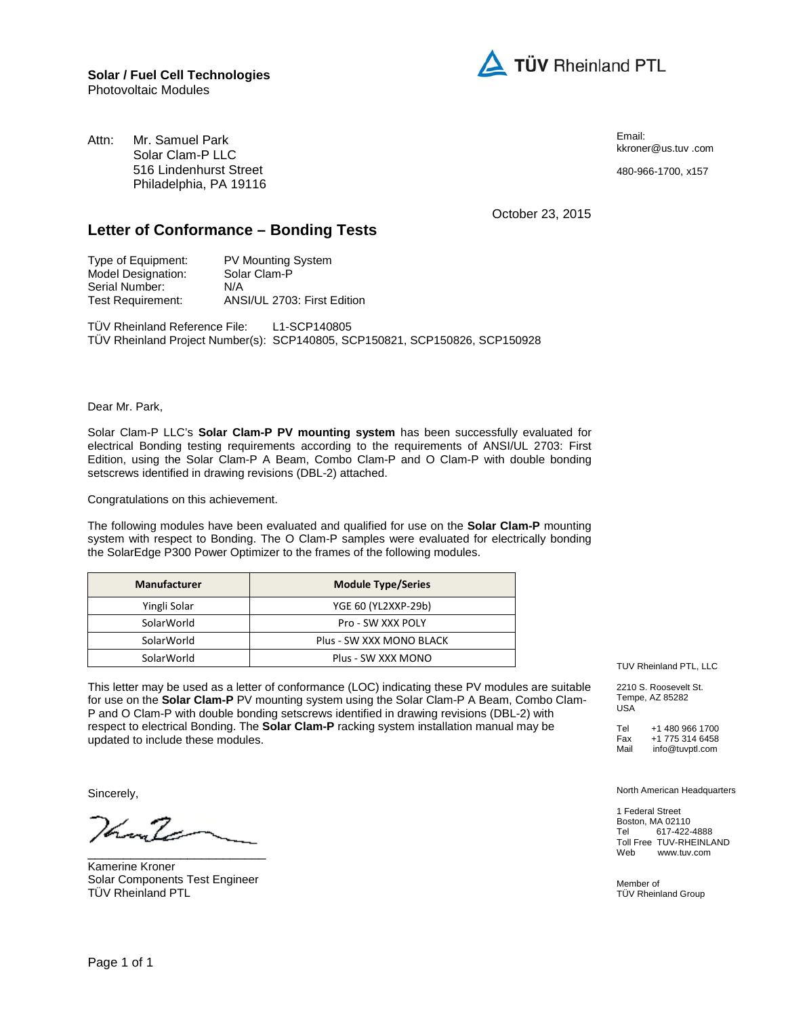

Attn: Mr. Samuel Park Solar Clam-P LLC 516 Lindenhurst Street Philadelphia, PA 19116 Email: kkroner@us.tuv .com

480-966-1700, x157

October 23, 2015

## **Letter of Conformance – Bonding Tests**

| <b>PV Mounting System</b>   |
|-----------------------------|
| Solar Clam-P                |
| N/A                         |
| ANSI/UL 2703: First Edition |
|                             |

TÜV Rheinland Reference File: L1-SCP140805 TÜV Rheinland Project Number(s): SCP140805, SCP150821, SCP150826, SCP150928

Dear Mr. Park,

Solar Clam-P LLC's **Solar Clam-P PV mounting system** has been successfully evaluated for electrical Bonding testing requirements according to the requirements of ANSI/UL 2703: First Edition, using the Solar Clam-P A Beam, Combo Clam-P and O Clam-P with double bonding setscrews identified in drawing revisions (DBL-2) attached.

Congratulations on this achievement.

The following modules have been evaluated and qualified for use on the **Solar Clam-P** mounting system with respect to Bonding. The O Clam-P samples were evaluated for electrically bonding the SolarEdge P300 Power Optimizer to the frames of the following modules.

| <b>Manufacturer</b> | <b>Module Type/Series</b> |
|---------------------|---------------------------|
| Yingli Solar        | YGE 60 (YL2XXP-29b)       |
| SolarWorld          | Pro - SW XXX POLY         |
| SolarWorld          | Plus - SW XXX MONO BLACK  |
| SolarWorld          | Plus - SW XXX MONO        |

This letter may be used as a letter of conformance (LOC) indicating these PV modules are suitable for use on the **Solar Clam-P** PV mounting system using the Solar Clam-P A Beam, Combo Clam-P and O Clam-P with double bonding setscrews identified in drawing revisions (DBL-2) with respect to electrical Bonding. The **Solar Clam-P** racking system installation manual may be updated to include these modules.

Sincerely,

han Za

Kamerine Kroner Solar Components Test Engineer TÜV Rheinland PTL

\_\_\_\_\_\_\_\_\_\_\_\_\_\_\_\_\_\_\_\_\_\_\_\_\_

TUV Rheinland PTL, LLC

2210 S. Roosevelt St. Tempe, AZ 85282 USA

Tel +1 480 966 1700<br>Fax +1 775 314 6458 Fax +1 775 314 6458<br>
Mail info@tuvptl.com info@tuvptl.com

North American Headquarters

1 Federal Street Boston, MA 02110<br>Tel 617-422-617-422-4888 Toll Free TUV-RHEINLAND<br>Web www.tuv.com www.tuv.com

Member of TÜV Rheinland Group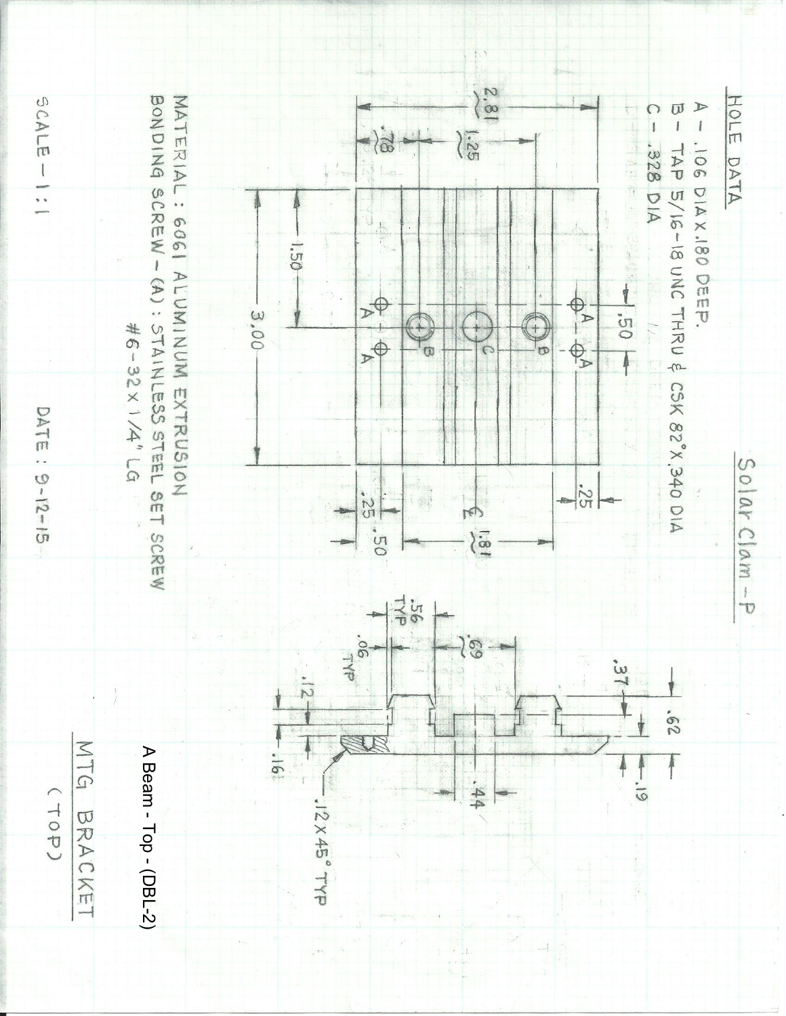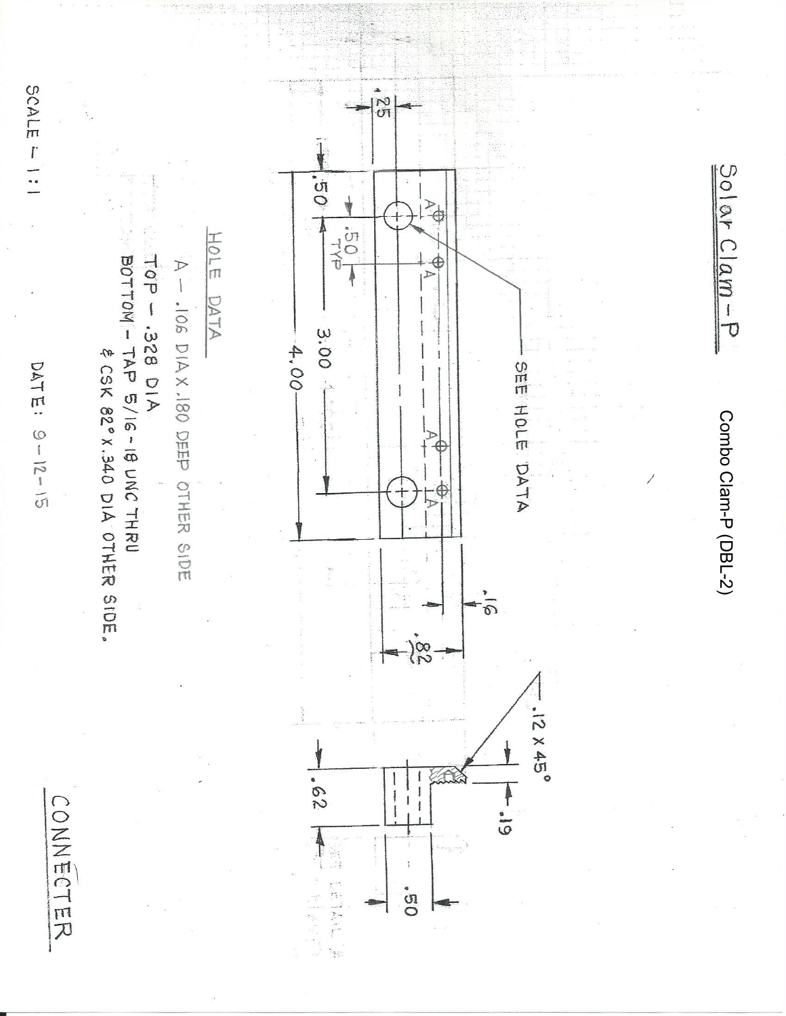